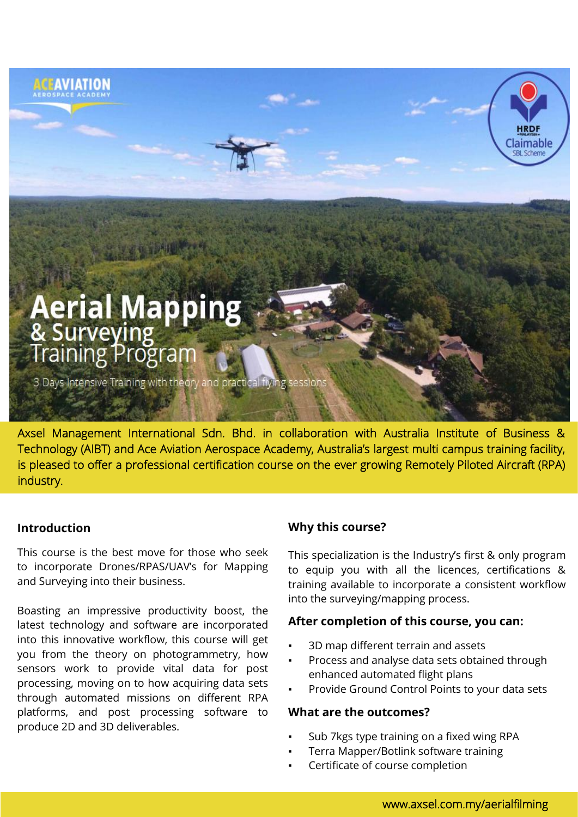# **Aerial Mapping<br>& Surveying<br>Training Program**

**AVIATION** 

3 Days Intensive Training with theory and practical flying s

Axsel Management International Sdn. Bhd. in collaboration with Australia Institute of Business & Technology (AIBT) and Ace Aviation Aerospace Academy, Australia's largest multi campus training facility, is pleased to offer a professional certification course on the ever growing Remotely Piloted Aircraft (RPA) industry.

# **Introduction**

This course is the best move for those who seek to incorporate Drones/RPAS/UAV's for Mapping and Surveying into their business.

Boasting an impressive productivity boost, the latest technology and software are incorporated into this innovative workflow, this course will get you from the theory on photogrammetry, how sensors work to provide vital data for post processing, moving on to how acquiring data sets through automated missions on different RPA platforms, and post processing software to produce 2D and 3D deliverables.

# **Why this course?**

This specialization is the Industry's first & only program to equip you with all the licences, certifications & training available to incorporate a consistent workflow into the surveying/mapping process.

Claimable

# **After completion of this course, you can:**

- 3D map different terrain and assets
- Process and analyse data sets obtained through enhanced automated flight plans
- Provide Ground Control Points to your data sets

#### **What are the outcomes?**

- Sub 7kgs type training on a fixed wing RPA
- Terra Mapper/Botlink software training
- Certificate of course completion